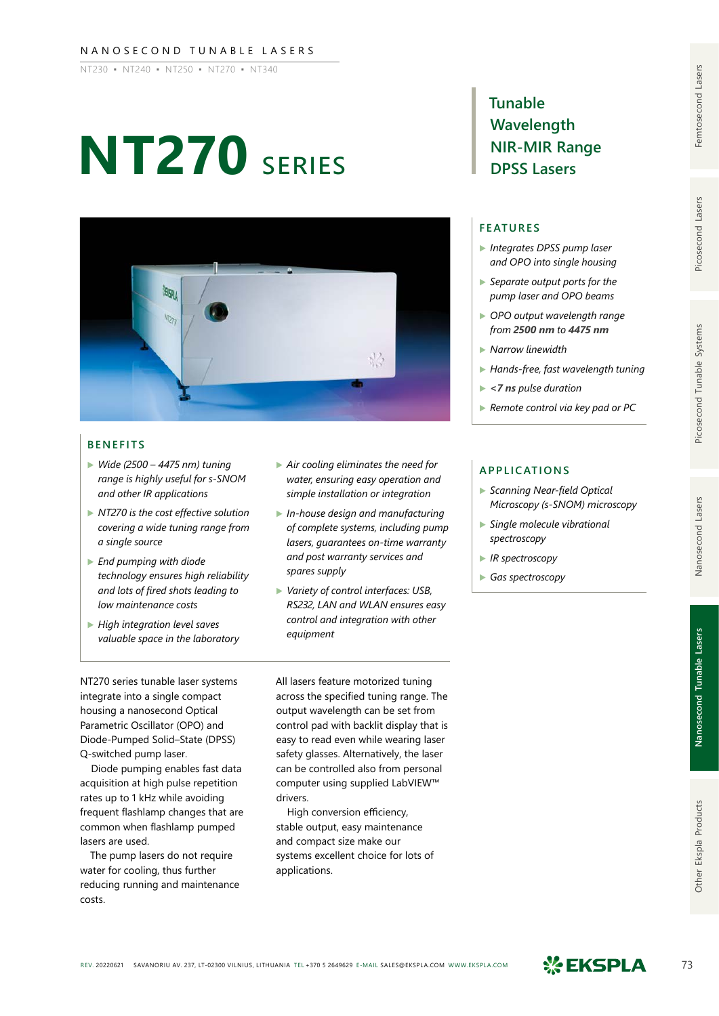NT230 ▪ NT240 ▪ NT250 ▪ NT270 ▪ NT340

# **NT270** series



### **BENEFITS**

- ▶ *Wide (2500 4475 nm) tuning range is highly useful for s-SNOM and other IR applications*
- ▶ *NT270 is the cost effective solution covering a wide tuning range from a single source*
- ▶ *End pumping with diode technology ensures high reliability and lots of fired shots leading to low maintenance costs*
- ▶ *High integration level saves valuable space in the laboratory*

NT270 series tunable laser systems integrate into a single compact housing a nanosecond Optical Parametric Oscillator (OPO) and Diode-Pumped Solid–State (DPSS) Q-switched pump laser.

Diode pumping enables fast data acquisition at high pulse repetition rates up to 1 kHz while avoiding frequent flashlamp changes that are common when flashlamp pumped lasers are used.

The pump lasers do not require water for cooling, thus further reducing running and maintenance costs.

- ▶ *Air cooling eliminates the need for water, ensuring easy operation and simple installation or integration*
- ▶ *In-house design and manufacturing of complete systems, including pump lasers, guarantees on-time warranty and post warranty services and spares supply*
- ▶ *Variety of control interfaces: USB, RS232, LAN and WLAN ensures easy control and integration with other equipment*

All lasers feature motorized tuning across the specified tuning range. The output wavelength can be set from control pad with backlit display that is easy to read even while wearing laser safety glasses. Alternatively, the laser can be controlled also from personal computer using supplied LabVIEW™ drivers.

High conversion efficiency, stable output, easy maintenance and compact size make our systems excellent choice for lots of applications.

### **Tunable Wavelength NIR-MIR Range DPSS Lasers**

### **FEATURES**

- ▶ *Integrates DPSS pump laser and OPO into single housing*
- ▶ *Separate output ports for the pump laser and OPO beams*
- ▶ *OPO output wavelength range from 2500 nm to 4475 nm*
- ▶ *Narrow linewidth*
- ▶ *Hands-free, fast wavelength tuning*
- ▶ *<7 ns pulse duration*
- ▶ *Remote control via key pad or PC*

### **APPLICATIONS**

- ▶ *Scanning Near-field Optical Microscopy (s-SNOM) microscopy*
- ▶ *Single molecule vibrational spectroscopy*
- ▶ *IR spectroscopy*
- ▶ *Gas spectroscopy*

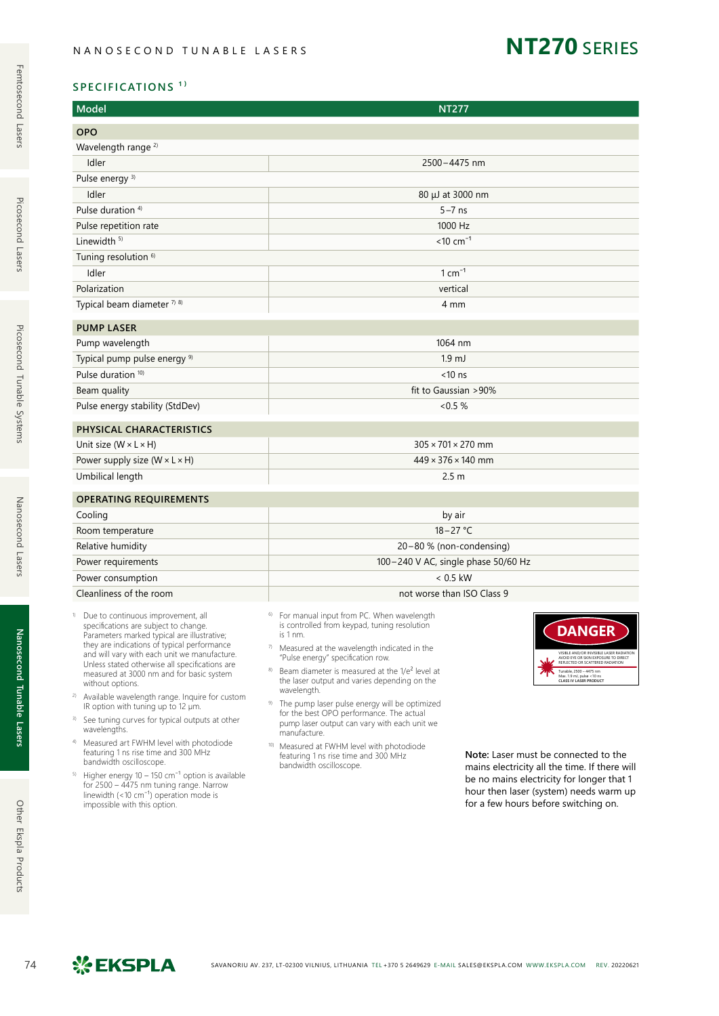## **NT270** series

### SPECIFICATIONS<sup>1)</sup>

| <b>Model</b>                                                                                                                                                                                                                                                                                                                                | <b>NT277</b>                                                                                                                                                                                                                                                                                                          |                                                                                                                                                                                                                         |  |
|---------------------------------------------------------------------------------------------------------------------------------------------------------------------------------------------------------------------------------------------------------------------------------------------------------------------------------------------|-----------------------------------------------------------------------------------------------------------------------------------------------------------------------------------------------------------------------------------------------------------------------------------------------------------------------|-------------------------------------------------------------------------------------------------------------------------------------------------------------------------------------------------------------------------|--|
| <b>OPO</b>                                                                                                                                                                                                                                                                                                                                  |                                                                                                                                                                                                                                                                                                                       |                                                                                                                                                                                                                         |  |
| Wavelength range <sup>2)</sup>                                                                                                                                                                                                                                                                                                              |                                                                                                                                                                                                                                                                                                                       |                                                                                                                                                                                                                         |  |
| Idler                                                                                                                                                                                                                                                                                                                                       | 2500-4475 nm                                                                                                                                                                                                                                                                                                          |                                                                                                                                                                                                                         |  |
| Pulse energy <sup>3)</sup>                                                                                                                                                                                                                                                                                                                  |                                                                                                                                                                                                                                                                                                                       |                                                                                                                                                                                                                         |  |
| Idler                                                                                                                                                                                                                                                                                                                                       | 80 µJ at 3000 nm                                                                                                                                                                                                                                                                                                      |                                                                                                                                                                                                                         |  |
| Pulse duration <sup>4)</sup>                                                                                                                                                                                                                                                                                                                | $5-7$ ns                                                                                                                                                                                                                                                                                                              |                                                                                                                                                                                                                         |  |
| Pulse repetition rate                                                                                                                                                                                                                                                                                                                       | 1000 Hz                                                                                                                                                                                                                                                                                                               |                                                                                                                                                                                                                         |  |
| Linewidth <sup>5)</sup>                                                                                                                                                                                                                                                                                                                     | $<$ 10 cm <sup>-1</sup>                                                                                                                                                                                                                                                                                               |                                                                                                                                                                                                                         |  |
| Tuning resolution <sup>6)</sup>                                                                                                                                                                                                                                                                                                             |                                                                                                                                                                                                                                                                                                                       |                                                                                                                                                                                                                         |  |
| Idler                                                                                                                                                                                                                                                                                                                                       | $1 \text{ cm}^{-1}$                                                                                                                                                                                                                                                                                                   |                                                                                                                                                                                                                         |  |
| Polarization                                                                                                                                                                                                                                                                                                                                | vertical                                                                                                                                                                                                                                                                                                              |                                                                                                                                                                                                                         |  |
| Typical beam diameter $778$                                                                                                                                                                                                                                                                                                                 | 4 mm                                                                                                                                                                                                                                                                                                                  |                                                                                                                                                                                                                         |  |
| <b>PUMP LASER</b>                                                                                                                                                                                                                                                                                                                           |                                                                                                                                                                                                                                                                                                                       |                                                                                                                                                                                                                         |  |
| Pump wavelength                                                                                                                                                                                                                                                                                                                             |                                                                                                                                                                                                                                                                                                                       | 1064 nm                                                                                                                                                                                                                 |  |
| Typical pump pulse energy <sup>9)</sup>                                                                                                                                                                                                                                                                                                     |                                                                                                                                                                                                                                                                                                                       | 1.9 <sub>m</sub>                                                                                                                                                                                                        |  |
| Pulse duration 10)                                                                                                                                                                                                                                                                                                                          | $< 10$ ns                                                                                                                                                                                                                                                                                                             |                                                                                                                                                                                                                         |  |
| Beam quality                                                                                                                                                                                                                                                                                                                                | fit to Gaussian > 90%                                                                                                                                                                                                                                                                                                 |                                                                                                                                                                                                                         |  |
| Pulse energy stability (StdDev)                                                                                                                                                                                                                                                                                                             | $< 0.5 \%$                                                                                                                                                                                                                                                                                                            |                                                                                                                                                                                                                         |  |
| PHYSICAL CHARACTERISTICS                                                                                                                                                                                                                                                                                                                    |                                                                                                                                                                                                                                                                                                                       |                                                                                                                                                                                                                         |  |
| Unit size ( $W \times L \times H$ )                                                                                                                                                                                                                                                                                                         | $305 \times 701 \times 270$ mm                                                                                                                                                                                                                                                                                        |                                                                                                                                                                                                                         |  |
| Power supply size $(W \times L \times H)$                                                                                                                                                                                                                                                                                                   | $449 \times 376 \times 140$ mm                                                                                                                                                                                                                                                                                        |                                                                                                                                                                                                                         |  |
| Umbilical length                                                                                                                                                                                                                                                                                                                            | 2.5 <sub>m</sub>                                                                                                                                                                                                                                                                                                      |                                                                                                                                                                                                                         |  |
| <b>OPERATING REQUIREMENTS</b>                                                                                                                                                                                                                                                                                                               |                                                                                                                                                                                                                                                                                                                       |                                                                                                                                                                                                                         |  |
| Cooling                                                                                                                                                                                                                                                                                                                                     | by air                                                                                                                                                                                                                                                                                                                |                                                                                                                                                                                                                         |  |
| Room temperature                                                                                                                                                                                                                                                                                                                            | $18 - 27$ °C                                                                                                                                                                                                                                                                                                          |                                                                                                                                                                                                                         |  |
| Relative humidity                                                                                                                                                                                                                                                                                                                           | 20-80 % (non-condensing)                                                                                                                                                                                                                                                                                              |                                                                                                                                                                                                                         |  |
| Power requirements                                                                                                                                                                                                                                                                                                                          | 100-240 V AC, single phase 50/60 Hz                                                                                                                                                                                                                                                                                   |                                                                                                                                                                                                                         |  |
| Power consumption                                                                                                                                                                                                                                                                                                                           | $< 0.5$ kW                                                                                                                                                                                                                                                                                                            |                                                                                                                                                                                                                         |  |
| Cleanliness of the room                                                                                                                                                                                                                                                                                                                     | not worse than ISO Class 9                                                                                                                                                                                                                                                                                            |                                                                                                                                                                                                                         |  |
| Due to continuous improvement, all<br>specifications are subject to change.<br>Parameters marked typical are illustrative;<br>they are indications of typical performance<br>and will vary with each unit we manufacture.<br>Unless stated otherwise all specifications are<br>measured at 3000 nm and for basic system<br>without options. | For manual input from PC. When wavelength<br>is controlled from keypad, tuning resolution<br>is 1 nm.<br>$\frac{1}{2}$ Measured at the wavelength indicated in the<br>"Pulse energy" specification row.<br>Beam diameter is measured at the 1/e <sup>2</sup> level at<br>the laser output and varies depending on the | <b>DANGER</b><br>VISIBLE AND/OR INVISIBLE LASER RADIATION<br>AVOID EYE OR SKIN EXPOSURE TO DIRECT<br>REFLECTED OR SCATTERED RADIATION<br>Tunable, 2500 - 4475 nm<br>Max. 1.9 mJ, pulse <10 ns<br>CLASS IV LASER PRODUCT |  |
| <sup>2)</sup> Available wavelength range. Inquire for custom<br>IR option with tuning up to 12 µm.                                                                                                                                                                                                                                          | wavelength.<br><sup>9)</sup> The pump laser pulse energy will be optimized<br>for the best OPO performance. The actual<br>pump laser output can vary with each unit we<br>manufacture.                                                                                                                                |                                                                                                                                                                                                                         |  |
| 3)<br>See tuning curves for typical outputs at other<br>wavelengths.                                                                                                                                                                                                                                                                        |                                                                                                                                                                                                                                                                                                                       |                                                                                                                                                                                                                         |  |
| <sup>4)</sup> Measured art FWHM level with photodiode<br>featuring 1 ns rise time and 300 MHz<br>bandwidth oscilloscope.                                                                                                                                                                                                                    | 10)<br>Measured at FWHM level with photodiode<br>featuring 1 ns rise time and 300 MHz<br>bandwidth oscilloscope.                                                                                                                                                                                                      | Note: Laser must be connected to the<br>mains electricity all the time. If there will<br>be no mains electricity for longer that 1                                                                                      |  |
| <sup>5)</sup> Higher energy 10 - 150 $cm^{-1}$ option is available<br>for $2500 - 4475$ nm tuning range. Narrow                                                                                                                                                                                                                             |                                                                                                                                                                                                                                                                                                                       |                                                                                                                                                                                                                         |  |

Other Ekspla Products



linewidth (<10 cm<sup>-1</sup>) operation mode is impossible with this option.

hour then laser (system) needs warm up for a few hours before switching on.